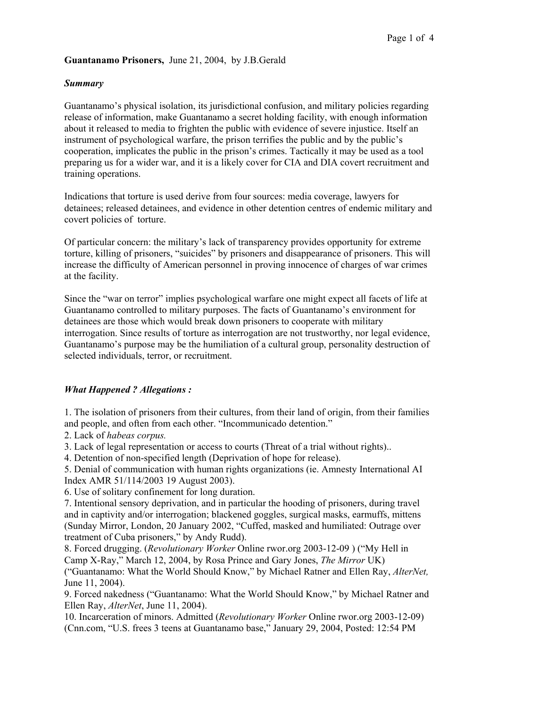### **Guantanamo Prisoners,** June 21, 2004, by J.B.Gerald

# *Summary*

Guantanamo's physical isolation, its jurisdictional confusion, and military policies regarding release of information, make Guantanamo a secret holding facility, with enough information about it released to media to frighten the public with evidence of severe injustice. Itself an instrument of psychological warfare, the prison terrifies the public and by the public's cooperation, implicates the public in the prison's crimes. Tactically it may be used as a tool preparing us for a wider war, and it is a likely cover for CIA and DIA covert recruitment and training operations.

Indications that torture is used derive from four sources: media coverage, lawyers for detainees; released detainees, and evidence in other detention centres of endemic military and covert policies of torture.

Of particular concern: the military's lack of transparency provides opportunity for extreme torture, killing of prisoners, "suicides" by prisoners and disappearance of prisoners. This will increase the difficulty of American personnel in proving innocence of charges of war crimes at the facility.

Since the "war on terror" implies psychological warfare one might expect all facets of life at Guantanamo controlled to military purposes. The facts of Guantanamo's environment for detainees are those which would break down prisoners to cooperate with military interrogation. Since results of torture as interrogation are not trustworthy, nor legal evidence, Guantanamo's purpose may be the humiliation of a cultural group, personality destruction of selected individuals, terror, or recruitment.

#### *What Happened ? Allegations :*

1. The isolation of prisoners from their cultures, from their land of origin, from their families and people, and often from each other. "Incommunicado detention."

2. Lack of *habeas corpus.* 

3. Lack of legal representation or access to courts (Threat of a trial without rights)..

4. Detention of non-specified length (Deprivation of hope for release).

5. Denial of communication with human rights organizations (ie. Amnesty International AI Index AMR 51/114/2003 19 August 2003).

6. Use of solitary confinement for long duration.

7. Intentional sensory deprivation, and in particular the hooding of prisoners, during travel and in captivity and/or interrogation; blackened goggles, surgical masks, earmuffs, mittens (Sunday Mirror, London, 20 January 2002, "Cuffed, masked and humiliated: Outrage over treatment of Cuba prisoners," by Andy Rudd).

8. Forced drugging. (*Revolutionary Worker* Online rwor.org 2003-12-09 ) ("My Hell in Camp X-Ray," March 12, 2004, by Rosa Prince and Gary Jones, *The Mirror* UK)

("Guantanamo: What the World Should Know," by Michael Ratner and Ellen Ray, *AlterNet,* June 11, 2004).

9. Forced nakedness ("Guantanamo: What the World Should Know," by Michael Ratner and Ellen Ray, *AlterNet*, June 11, 2004).

10. Incarceration of minors. Admitted (*Revolutionary Worker* Online rwor.org 2003-12-09) (Cnn.com, "U.S. frees 3 teens at Guantanamo base," January 29, 2004, Posted: 12:54 PM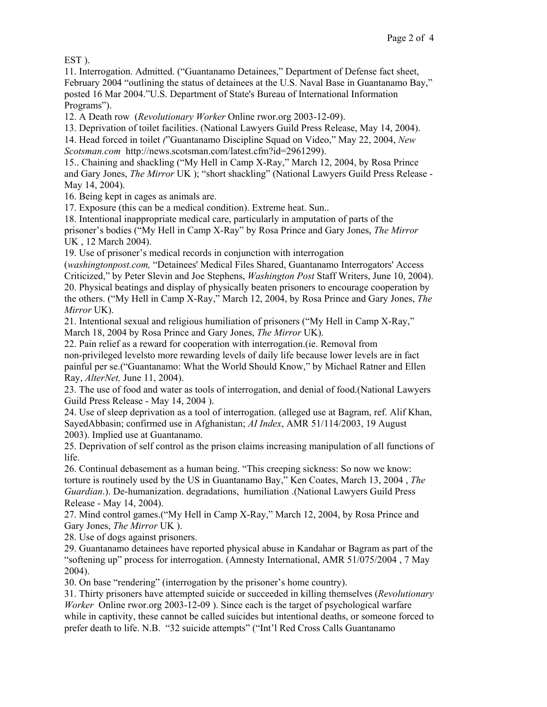EST ).

11. Interrogation. Admitted. ("Guantanamo Detainees," Department of Defense fact sheet, February 2004 "outlining the status of detainees at the U.S. Naval Base in Guantanamo Bay," posted 16 Mar 2004."U.S. Department of State's Bureau of International Information Programs").

12. A Death row (*Revolutionary Worker* Online rwor.org 2003-12-09).

13. Deprivation of toilet facilities. (National Lawyers Guild Press Release, May 14, 2004).

14. Head forced in toilet *(*"Guantanamo Discipline Squad on Video," May 22, 2004, *New Scotsman.com* http://news.scotsman.com/latest.cfm?id=2961299).

15.. Chaining and shackling ("My Hell in Camp X-Ray," March 12, 2004, by Rosa Prince and Gary Jones, *The Mirror* UK ); "short shackling" (National Lawyers Guild Press Release - May 14, 2004).

16. Being kept in cages as animals are.

17. Exposure (this can be a medical condition). Extreme heat. Sun..

18. Intentional inappropriate medical care, particularly in amputation of parts of the prisoner's bodies ("My Hell in Camp X-Ray" by Rosa Prince and Gary Jones, *The Mirror* UK , 12 March 2004).

19. Use of prisoner's medical records in conjunction with interrogation

(*washingtonpost.com,* "Detainees' Medical Files Shared, Guantanamo Interrogators' Access Criticized," by Peter Slevin and Joe Stephens, *Washington Post* Staff Writers, June 10, 2004). 20. Physical beatings and display of physically beaten prisoners to encourage cooperation by the others. ("My Hell in Camp X-Ray," March 12, 2004, by Rosa Prince and Gary Jones, *The Mirror* UK).

21. Intentional sexual and religious humiliation of prisoners ("My Hell in Camp X-Ray," March 18, 2004 by Rosa Prince and Gary Jones, *The Mirror* UK).

22. Pain relief as a reward for cooperation with interrogation.(ie. Removal from non-privileged levelsto more rewarding levels of daily life because lower levels are in fact painful per se.("Guantanamo: What the World Should Know," by Michael Ratner and Ellen Ray, *AlterNet,* June 11, 2004).

23. The use of food and water as tools of interrogation, and denial of food.(National Lawyers Guild Press Release - May 14, 2004 ).

24. Use of sleep deprivation as a tool of interrogation. (alleged use at Bagram, ref. Alif Khan, SayedAbbasin; confirmed use in Afghanistan; *AI Index*, AMR 51/114/2003, 19 August 2003). Implied use at Guantanamo.

25. Deprivation of self control as the prison claims increasing manipulation of all functions of life.

26. Continual debasement as a human being. "This creeping sickness: So now we know: torture is routinely used by the US in Guantanamo Bay," Ken Coates, March 13, 2004 , *The Guardian*.). De-humanization. degradations, humiliation .(National Lawyers Guild Press Release - May 14, 2004).

27. Mind control games.("My Hell in Camp X-Ray," March 12, 2004, by Rosa Prince and Gary Jones, *The Mirror* UK ).

28. Use of dogs against prisoners.

29. Guantanamo detainees have reported physical abuse in Kandahar or Bagram as part of the "softening up" process for interrogation. (Amnesty International, AMR 51/075/2004 , 7 May 2004).

30. On base "rendering" (interrogation by the prisoner's home country).

31. Thirty prisoners have attempted suicide or succeeded in killing themselves (*Revolutionary Worker* Online rwor.org 2003-12-09 ). Since each is the target of psychological warfare while in captivity, these cannot be called suicides but intentional deaths, or someone forced to prefer death to life. N.B. "32 suicide attempts" ("Int'l Red Cross Calls Guantanamo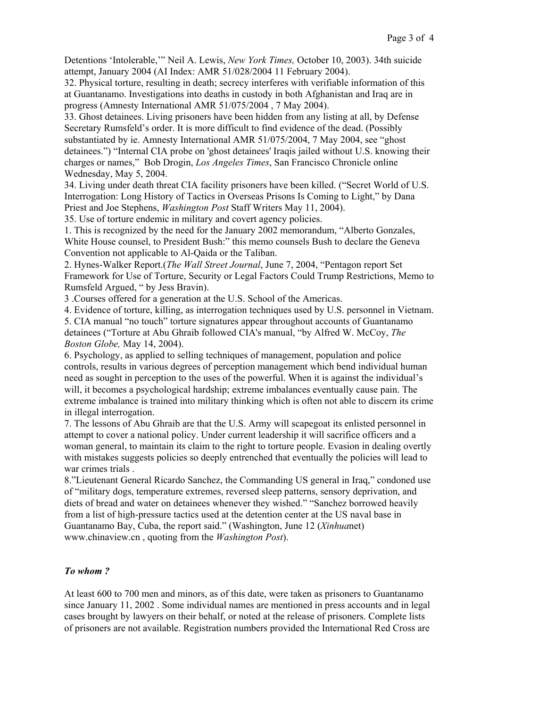Detentions 'Intolerable,'" Neil A. Lewis, *New York Times,* October 10, 2003). 34th suicide attempt, January 2004 (AI Index: AMR 51/028/2004 11 February 2004).

32. Physical torture, resulting in death; secrecy interferes with verifiable information of this at Guantanamo. Investigations into deaths in custody in both Afghanistan and Iraq are in progress (Amnesty International AMR 51/075/2004 , 7 May 2004).

33. Ghost detainees. Living prisoners have been hidden from any listing at all, by Defense Secretary Rumsfeld's order. It is more difficult to find evidence of the dead. (Possibly substantiated by ie. Amnesty International AMR 51/075/2004, 7 May 2004, see "ghost detainees.") "Internal CIA probe on 'ghost detainees' Iraqis jailed without U.S. knowing their charges or names," Bob Drogin, *Los Angeles Times*, San Francisco Chronicle online Wednesday, May 5, 2004.

34. Living under death threat CIA facility prisoners have been killed. ("Secret World of U.S. Interrogation: Long History of Tactics in Overseas Prisons Is Coming to Light," by Dana Priest and Joe Stephens, *Washington Post* Staff Writers May 11, 2004).

35. Use of torture endemic in military and covert agency policies.

1. This is recognized by the need for the January 2002 memorandum, "Alberto Gonzales, White House counsel, to President Bush:" this memo counsels Bush to declare the Geneva Convention not applicable to Al-Qaida or the Taliban.

2. Hynes-Walker Report.(*The Wall Street Journal*, June 7, 2004, "Pentagon report Set Framework for Use of Torture, Security or Legal Factors Could Trump Restrictions, Memo to Rumsfeld Argued, " by Jess Bravin).

3 .Courses offered for a generation at the U.S. School of the Americas.

4. Evidence of torture, killing, as interrogation techniques used by U.S. personnel in Vietnam.

5. CIA manual "no touch" torture signatures appear throughout accounts of Guantanamo detainees ("Torture at Abu Ghraib followed CIA's manual, "by Alfred W. McCoy, *The Boston Globe,* May 14, 2004).

6. Psychology, as applied to selling techniques of management, population and police controls, results in various degrees of perception management which bend individual human need as sought in perception to the uses of the powerful. When it is against the individual's will, it becomes a psychological hardship; extreme imbalances eventually cause pain. The extreme imbalance is trained into military thinking which is often not able to discern its crime in illegal interrogation.

7. The lessons of Abu Ghraib are that the U.S. Army will scapegoat its enlisted personnel in attempt to cover a national policy. Under current leadership it will sacrifice officers and a woman general, to maintain its claim to the right to torture people. Evasion in dealing overtly with mistakes suggests policies so deeply entrenched that eventually the policies will lead to war crimes trials .

8."Lieutenant General Ricardo Sanchez, the Commanding US general in Iraq," condoned use of "military dogs, temperature extremes, reversed sleep patterns, sensory deprivation, and diets of bread and water on detainees whenever they wished." "Sanchez borrowed heavily from a list of high-pressure tactics used at the detention center at the US naval base in Guantanamo Bay, Cuba, the report said." (Washington, June 12 (*Xinhua*net) www.chinaview.cn , quoting from the *Washington Post*).

#### *To whom ?*

At least 600 to 700 men and minors, as of this date, were taken as prisoners to Guantanamo since January 11, 2002 . Some individual names are mentioned in press accounts and in legal cases brought by lawyers on their behalf, or noted at the release of prisoners. Complete lists of prisoners are not available. Registration numbers provided the International Red Cross are